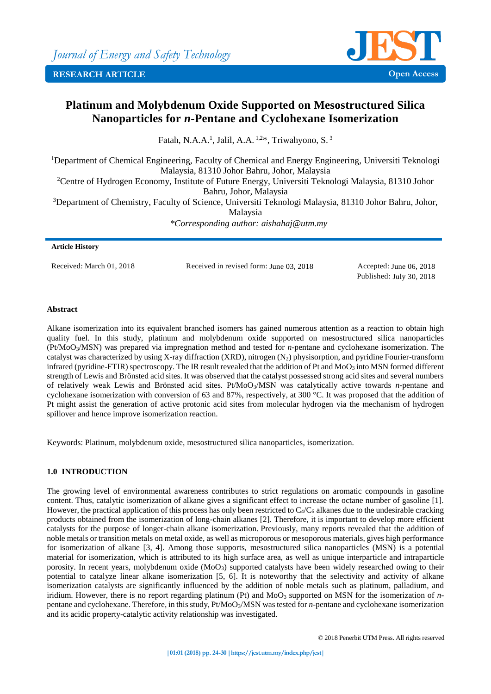

# **Platinum and Molybdenum Oxide Supported on Mesostructured Silica Nanoparticles for** *n***-Pentane and Cyclohexane Isomerization**

Fatah, N.A.A.<sup>1</sup>, Jalil, A.A.<sup>1,2\*</sup>, Triwahyono, S.<sup>3</sup>

<sup>1</sup>Department of Chemical Engineering, Faculty of Chemical and Energy Engineering, Universiti Teknologi Malaysia, 81310 Johor Bahru, Johor, Malaysia <sup>2</sup>Centre of Hydrogen Economy, Institute of Future Energy, Universiti Teknologi Malaysia, 81310 Johor Bahru, Johor, Malaysia <sup>3</sup>Department of Chemistry, Faculty of Science, Universiti Teknologi Malaysia, 81310 Johor Bahru, Johor, Malaysia *\*Corresponding author: aishahaj@utm.my*

# **Article History**

Received: March 01, 2018 Received in revised form: June 03, 2018 Accepted: June 06, 2018

Published: July 30, 2018

# **Abstract**

Alkane isomerization into its equivalent branched isomers has gained numerous attention as a reaction to obtain high quality fuel. In this study, platinum and molybdenum oxide supported on mesostructured silica nanoparticles (Pt/MoO3/MSN) was prepared via impregnation method and tested for *n*-pentane and cyclohexane isomerization. The catalyst was characterized by using X-ray diffraction (XRD), nitrogen  $(N_2)$  physisorption, and pyridine Fourier-transform infrared (pyridine-FTIR) spectroscopy. The IR result revealed that the addition of Pt and MoO<sub>3</sub> into MSN formed different strength of Lewis and Brönsted acid sites. It was observed that the catalyst possessed strong acid sites and several numbers of relatively weak Lewis and Brönsted acid sites. Pt/MoO3/MSN was catalytically active towards *n*-pentane and cyclohexane isomerization with conversion of 63 and 87%, respectively, at 300 °C. It was proposed that the addition of Pt might assist the generation of active protonic acid sites from molecular hydrogen via the mechanism of hydrogen spillover and hence improve isomerization reaction.

Keywords: Platinum, molybdenum oxide, mesostructured silica nanoparticles, isomerization.

# **1.0 INTRODUCTION**

The growing level of environmental awareness contributes to strict regulations on aromatic compounds in gasoline content. Thus, catalytic isomerization of alkane gives a significant effect to increase the octane number of gasoline [1]. However, the practical application of this process has only been restricted to  $C_4/C_6$  alkanes due to the undesirable cracking products obtained from the isomerization of long-chain alkanes [2]. Therefore, it is important to develop more efficient catalysts for the purpose of longer-chain alkane isomerization. Previously, many reports revealed that the addition of noble metals or transition metals on metal oxide, as well as microporous or mesoporous materials, gives high performance for isomerization of alkane [3, 4]. Among those supports, mesostructured silica nanoparticles (MSN) is a potential material for isomerization, which is attributed to its high surface area, as well as unique interparticle and intraparticle porosity. In recent years, molybdenum oxide (MoO<sub>3</sub>) supported catalysts have been widely researched owing to their potential to catalyze linear alkane isomerization [5, 6]. It is noteworthy that the selectivity and activity of alkane isomerization catalysts are significantly influenced by the addition of noble metals such as platinum, palladium, and iridium. However, there is no report regarding platinum (Pt) and MoO<sub>3</sub> supported on MSN for the isomerization of *n*pentane and cyclohexane. Therefore, in this study, Pt/MoO3/MSN was tested for *n*-pentane and cyclohexane isomerization and its acidic property-catalytic activity relationship was investigated.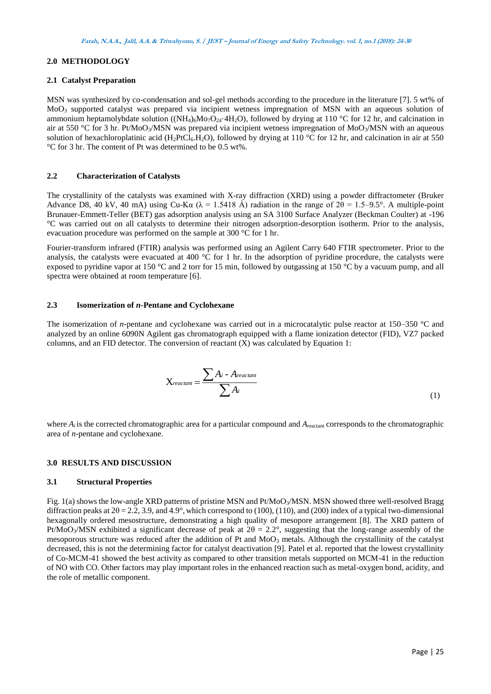# **2.0 METHODOLOGY**

## **2.1 Catalyst Preparation**

MSN was synthesized by co-condensation and sol-gel methods according to the procedure in the literature [7]. 5 wt% of MoO<sup>3</sup> supported catalyst was prepared via incipient wetness impregnation of MSN with an aqueous solution of ammonium heptamolybdate solution ((NH<sub>4)6</sub>Mo<sub>7</sub>O<sub>24</sub>·4H<sub>2</sub>O), followed by drying at 110 °C for 12 hr, and calcination in air at 550 °C for 3 hr. Pt/MoO<sub>3</sub>/MSN was prepared via incipient wetness impregnation of MoO<sub>3</sub>/MSN with an aqueous solution of hexachloroplatinic acid (H<sub>2</sub>PtCl<sub>6</sub>.H<sub>2</sub>O), followed by drying at 110 °C for 12 hr, and calcination in air at 550 °C for 3 hr. The content of Pt was determined to be 0.5 wt%.

# **2.2 Characterization of Catalysts**

The crystallinity of the catalysts was examined with X-ray diffraction (XRD) using a powder diffractometer (Bruker Advance D8, 40 kV, 40 mA) using Cu-Kα ( $\lambda$  = 1.5418 Å) radiation in the range of  $2\theta$  = 1.5–9.5°. A multiple-point Brunauer-Emmett-Teller (BET) gas adsorption analysis using an SA 3100 Surface Analyzer (Beckman Coulter) at -196 °C was carried out on all catalysts to determine their nitrogen adsorption-desorption isotherm. Prior to the analysis, evacuation procedure was performed on the sample at 300 °C for 1 hr.

Fourier-transform infrared (FTIR) analysis was performed using an Agilent Carry 640 FTIR spectrometer. Prior to the analysis, the catalysts were evacuated at 400  $^{\circ}$ C for 1 hr. In the adsorption of pyridine procedure, the catalysts were exposed to pyridine vapor at 150 °C and 2 torr for 15 min, followed by outgassing at 150 °C by a vacuum pump, and all spectra were obtained at room temperature [6].

## **2.3 Isomerization of** *n***-Pentane and Cyclohexane**

The isomerization of *n*-pentane and cyclohexane was carried out in a microcatalytic pulse reactor at 150–350 °C and analyzed by an online 6090N Agilent gas chromatograph equipped with a flame ionization detector (FID), VZ7 packed columns, and an FID detector. The conversion of reactant (X) was calculated by Equation 1:

$$
X_{reactant} = \frac{\sum A_i - A_{reactant}}{\sum A_i}
$$
 (1)

where  $A_i$  is the corrected chromatographic area for a particular compound and  $A_{\text{reactant}}$  corresponds to the chromatographic area of *n*-pentane and cyclohexane.

## **3.0 RESULTS AND DISCUSSION**

## **3.1 Structural Properties**

Fig. 1(a) shows the low-angle XRD patterns of pristine MSN and Pt/MoO<sub>3</sub>/MSN. MSN showed three well-resolved Bragg diffraction peaks at  $2\theta = 2.2$ , 3.9, and 4.9°, which correspond to (100), (110), and (200) index of a typical two-dimensional hexagonally ordered mesostructure, demonstrating a high quality of mesopore arrangement [8]. The XRD pattern of Pt/MoO<sub>3</sub>/MSN exhibited a significant decrease of peak at  $2\theta = 2.2^{\circ}$ , suggesting that the long-range assembly of the mesoporous structure was reduced after the addition of Pt and MoO<sub>3</sub> metals. Although the crystallinity of the catalyst decreased, this is not the determining factor for catalyst deactivation [9]. Patel et al. reported that the lowest crystallinity of Co-MCM-41 showed the best activity as compared to other transition metals supported on MCM-41 in the reduction of NO with CO. Other factors may play important roles in the enhanced reaction such as metal-oxygen bond, acidity, and the role of metallic component.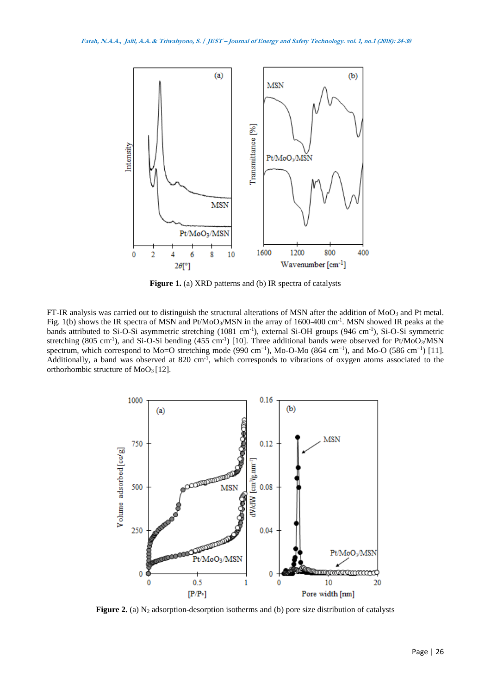

Figure 1. (a) XRD patterns and (b) IR spectra of catalysts

FT-IR analysis was carried out to distinguish the structural alterations of MSN after the addition of MoO<sub>3</sub> and Pt metal. Fig. 1(b) shows the IR spectra of MSN and Pt/MoO<sub>3</sub>/MSN in the array of 1600-400 cm<sup>-1</sup>. MSN showed IR peaks at the bands attributed to Si-O-Si asymmetric stretching (1081 cm<sup>-1</sup>), external Si-OH groups (946 cm<sup>-1</sup>), Si-O-Si symmetric stretching (805 cm<sup>-1</sup>), and Si-O-Si bending (455 cm<sup>-1</sup>) [10]. Three additional bands were observed for Pt/MoO<sub>3</sub>/MSN spectrum, which correspond to Mo=O stretching mode (990 cm<sup>-1</sup>), Mo-O-Mo (864 cm<sup>-1</sup>), and Mo-O (586 cm<sup>-1</sup>) [11]. Additionally, a band was observed at  $820 \text{ cm}^{-1}$ , which corresponds to vibrations of oxygen atoms associated to the orthorhombic structure of MoO3 [12].



**Figure 2.** (a)  $N_2$  adsorption-desorption isotherms and (b) pore size distribution of catalysts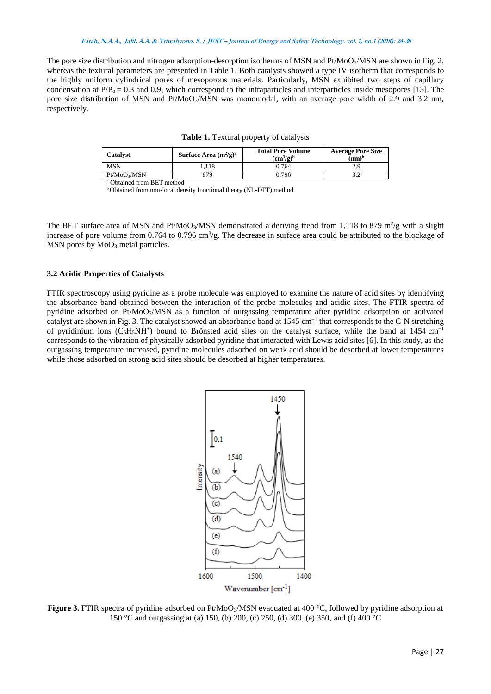#### **Fatah, N.A.A., Jalil, A.A. & Triwahyono, S. / JEST – Journal of Energy and Safety Technology. vol. 1, no.1 (2018): 24-30**

The pore size distribution and nitrogen adsorption-desorption isotherms of MSN and Pt/MoO<sub>3</sub>/MSN are shown in Fig. 2, whereas the textural parameters are presented in Table 1. Both catalysts showed a type IV isotherm that corresponds to the highly uniform cylindrical pores of mesoporous materials. Particularly, MSN exhibited two steps of capillary condensation at  $P/P_0 = 0.3$  and 0.9, which correspond to the intraparticles and interparticles inside mesopores [13]. The pore size distribution of MSN and Pt/MoO<sub>3</sub>/MSN was monomodal, with an average pore width of 2.9 and 3.2 nm, respectively.

| Table 1. Textural property of catalysts |  |  |  |  |
|-----------------------------------------|--|--|--|--|
|-----------------------------------------|--|--|--|--|

| Catalvst                 | Surface Area $(m^2/g)^a$ | <b>Total Pore Volume</b><br>$(cm^3/g)^b$ | <b>Average Pore Size</b><br>$(nm)^b$ |
|--------------------------|--------------------------|------------------------------------------|--------------------------------------|
| <b>MSN</b>               | .118                     | 0.764                                    | 2.9                                  |
| Pt/MoO <sub>2</sub> /MSN | 879                      | 0.796                                    |                                      |
|                          |                          |                                          |                                      |

Obtained from BET method

**b** Obtained from non-local density functional theory (NL-DFT) method

The BET surface area of MSN and Pt/MoO<sub>3</sub>/MSN demonstrated a deriving trend from 1,118 to 879 m<sup>2</sup>/g with a slight increase of pore volume from  $0.764$  to  $0.796$  cm<sup>3</sup>/g. The decrease in surface area could be attributed to the blockage of MSN pores by MoO<sub>3</sub> metal particles.

## **3.2 Acidic Properties of Catalysts**

FTIR spectroscopy using pyridine as a probe molecule was employed to examine the nature of acid sites by identifying the absorbance band obtained between the interaction of the probe molecules and acidic sites. The FTIR spectra of pyridine adsorbed on Pt/MoO3/MSN as a function of outgassing temperature after pyridine adsorption on activated catalyst are shown in Fig. 3. The catalyst showed an absorbance band at 1545 cm−1 that corresponds to the C-N stretching of pyridinium ions (C<sub>5</sub>H<sub>5</sub>NH<sup>+</sup>) bound to Brönsted acid sites on the catalyst surface, while the band at 1454 cm<sup>-1</sup> corresponds to the vibration of physically adsorbed pyridine that interacted with Lewis acid sites [6]. In this study, as the outgassing temperature increased, pyridine molecules adsorbed on weak acid should be desorbed at lower temperatures while those adsorbed on strong acid sites should be desorbed at higher temperatures.



**Figure 3.** FTIR spectra of pyridine adsorbed on Pt/MoO<sub>3</sub>/MSN evacuated at 400 °C, followed by pyridine adsorption at 150 °C and outgassing at (a) 150, (b) 200, (c) 250, (d) 300, (e) 350, and (f) 400 °C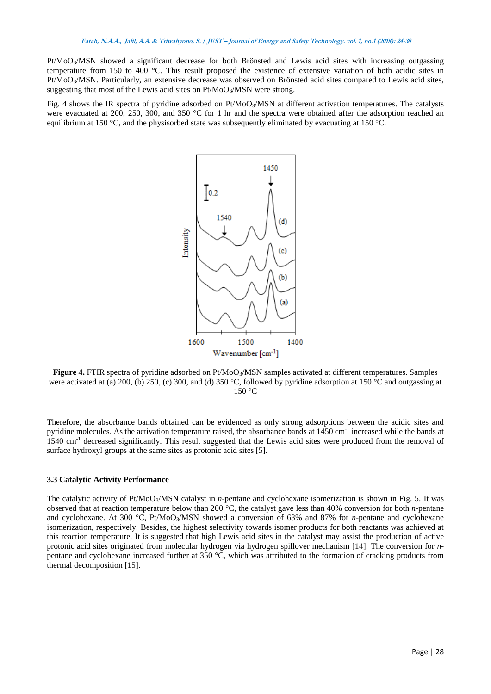Pt/MoO3/MSN showed a significant decrease for both Brönsted and Lewis acid sites with increasing outgassing temperature from 150 to 400 °C. This result proposed the existence of extensive variation of both acidic sites in Pt/MoO3/MSN. Particularly, an extensive decrease was observed on Brönsted acid sites compared to Lewis acid sites, suggesting that most of the Lewis acid sites on  $Pt/MoO<sub>3</sub>/MSN$  were strong.

Fig. 4 shows the IR spectra of pyridine adsorbed on Pt/MoO<sub>3</sub>/MSN at different activation temperatures. The catalysts were evacuated at 200, 250, 300, and 350 °C for 1 hr and the spectra were obtained after the adsorption reached an equilibrium at 150 °C, and the physisorbed state was subsequently eliminated by evacuating at 150 °C.



**Figure 4.** FTIR spectra of pyridine adsorbed on Pt/MoO<sub>3</sub>/MSN samples activated at different temperatures. Samples were activated at (a) 200, (b) 250, (c) 300, and (d) 350 °C, followed by pyridine adsorption at 150 °C and outgassing at 150 °C

Therefore, the absorbance bands obtained can be evidenced as only strong adsorptions between the acidic sites and pyridine molecules. As the activation temperature raised, the absorbance bands at 1450 cm<sup>-1</sup> increased while the bands at 1540 cm-1 decreased significantly. This result suggested that the Lewis acid sites were produced from the removal of surface hydroxyl groups at the same sites as protonic acid sites [5].

## **3.3 Catalytic Activity Performance**

The catalytic activity of Pt/MoO3/MSN catalyst in *n*-pentane and cyclohexane isomerization is shown in Fig. 5. It was observed that at reaction temperature below than 200 °C, the catalyst gave less than 40% conversion for both *n*-pentane and cyclohexane. At 300 °C, Pt/MoO3/MSN showed a conversion of 63% and 87% for *n*-pentane and cyclohexane isomerization, respectively. Besides, the highest selectivity towards isomer products for both reactants was achieved at this reaction temperature. It is suggested that high Lewis acid sites in the catalyst may assist the production of active protonic acid sites originated from molecular hydrogen via hydrogen spillover mechanism [14]. The conversion for *n*pentane and cyclohexane increased further at 350 °C, which was attributed to the formation of cracking products from thermal decomposition [15].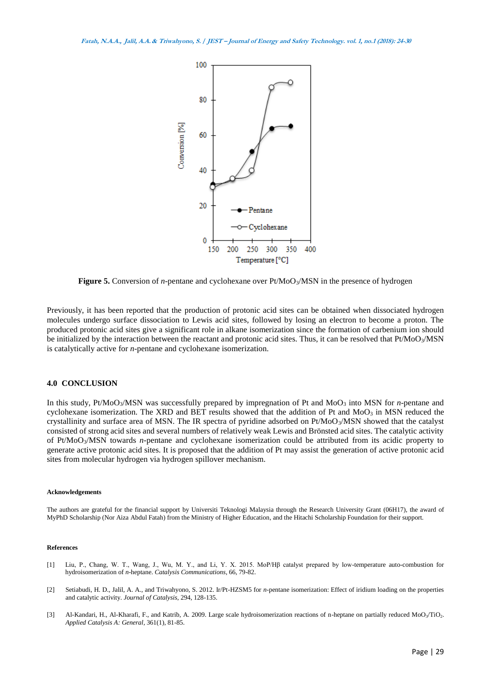

**Figure 5.** Conversion of *n*-pentane and cyclohexane over Pt/MoO<sub>3</sub>/MSN in the presence of hydrogen

Previously, it has been reported that the production of protonic acid sites can be obtained when dissociated hydrogen molecules undergo surface dissociation to Lewis acid sites, followed by losing an electron to become a proton. The produced protonic acid sites give a significant role in alkane isomerization since the formation of carbenium ion should be initialized by the interaction between the reactant and protonic acid sites. Thus, it can be resolved that Pt/MoO3/MSN is catalytically active for *n*-pentane and cyclohexane isomerization.

#### **4.0 CONCLUSION**

In this study, Pt/MoO<sub>3</sub>/MSN was successfully prepared by impregnation of Pt and MoO<sub>3</sub> into MSN for *n*-pentane and cyclohexane isomerization. The XRD and BET results showed that the addition of Pt and MoO<sub>3</sub> in MSN reduced the crystallinity and surface area of MSN. The IR spectra of pyridine adsorbed on Pt/MoO3/MSN showed that the catalyst consisted of strong acid sites and several numbers of relatively weak Lewis and Brönsted acid sites. The catalytic activity of Pt/MoO3/MSN towards *n*-pentane and cyclohexane isomerization could be attributed from its acidic property to generate active protonic acid sites. It is proposed that the addition of Pt may assist the generation of active protonic acid sites from molecular hydrogen via hydrogen spillover mechanism.

#### **Acknowledgements**

The authors are grateful for the financial support by Universiti Teknologi Malaysia through the Research University Grant (06H17), the award of MyPhD Scholarship (Nor Aiza Abdul Fatah) from the Ministry of Higher Education, and the Hitachi Scholarship Foundation for their support.

#### **References**

- [1] Liu, P., Chang, W. T., Wang, J., Wu, M. Y., and Li, Y. X. 2015. MoP/Hβ catalyst prepared by low-temperature auto-combustion for hydroisomerization of *n*-heptane. *Catalysis Communications*, 66, 79-82.
- [2] Setiabudi, H. D., Jalil, A. A., and Triwahyono, S. 2012. Ir/Pt-HZSM5 for *n*-pentane isomerization: Effect of iridium loading on the properties and catalytic activity. *Journal of Catalysis*, 294, 128-135.
- [3] Al-Kandari, H., Al-Kharafi, F., and Katrib, A. 2009. Large scale hydroisomerization reactions of n-heptane on partially reduced MoO<sub>3</sub>/TiO<sub>2</sub>. *Applied Catalysis A: General*, 361(1), 81-85.